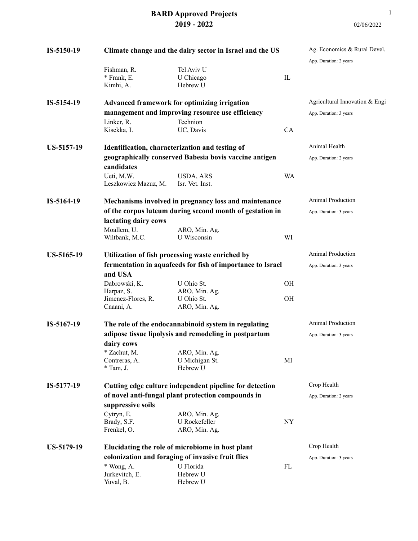| IS-5150-19        |                                                                            | Climate change and the dairy sector in Israel and the US                                                                                                                     |             | Ag. Economics & Rural Devel.<br>App. Duration: 2 years   |
|-------------------|----------------------------------------------------------------------------|------------------------------------------------------------------------------------------------------------------------------------------------------------------------------|-------------|----------------------------------------------------------|
|                   | Fishman, R.<br>* Frank, E.<br>Kimhi, A.                                    | Tel Aviv U<br>U Chicago<br>Hebrew U                                                                                                                                          | $_{\rm IL}$ |                                                          |
| IS-5154-19        |                                                                            | Advanced framework for optimizing irrigation<br>management and improving resource use efficiency                                                                             |             | Agricultural Innovation & Engi<br>App. Duration: 3 years |
|                   | Linker, R.<br>Kisekka, I.                                                  | Technion<br>UC, Davis                                                                                                                                                        | <b>CA</b>   |                                                          |
| US-5157-19        |                                                                            | Identification, characterization and testing of<br>geographically conserved Babesia bovis vaccine antigen                                                                    |             | Animal Health<br>App. Duration: 2 years                  |
|                   | candidates<br>Ueti, M.W.<br>Leszkowicz Mazuz, M.                           | USDA, ARS<br>Isr. Vet. Inst.                                                                                                                                                 | WA          |                                                          |
| IS-5164-19        | lactating dairy cows<br>Moallem, U.<br>Wiltbank, M.C.                      | Mechanisms involved in pregnancy loss and maintenance<br>of the corpus luteum during second month of gestation in<br>ARO, Min. Ag.<br>U Wisconsin                            | WI          | Animal Production<br>App. Duration: 3 years              |
| US-5165-19        | and USA<br>Dabrowski, K.<br>Harpaz, S.<br>Jimenez-Flores, R.<br>Cnaani, A. | Utilization of fish processing waste enriched by<br>fermentation in aquafeeds for fish of importance to Israel<br>U Ohio St.<br>ARO, Min. Ag.<br>U Ohio St.<br>ARO, Min. Ag. | OH<br>OH    | Animal Production<br>App. Duration: 3 years              |
| IS-5167-19        | dairy cows<br>* Zachut, M.<br>Contreras, A.<br>* Tam, J.                   | The role of the endocannabinoid system in regulating<br>adipose tissue lipolysis and remodeling in postpartum<br>ARO, Min. Ag.<br>U Michigan St.<br>Hebrew U                 | MI          | <b>Animal Production</b><br>App. Duration: 3 years       |
| IS-5177-19        | suppressive soils<br>Cytryn, E.<br>Brady, S.F.<br>Frenkel, O.              | Cutting edge culture independent pipeline for detection<br>of novel anti-fungal plant protection compounds in<br>ARO, Min. Ag.<br>U Rockefeller<br>ARO, Min. Ag.             | ${\rm NY}$  | Crop Health<br>App. Duration: 2 years                    |
| <b>US-5179-19</b> | * Wong, A.<br>Jurkevitch, E.<br>Yuval, B.                                  | Elucidating the role of microbiome in host plant<br>colonization and foraging of invasive fruit flies<br>U Florida<br>Hebrew U<br>Hebrew U                                   | FL          | Crop Health<br>App. Duration: 3 years                    |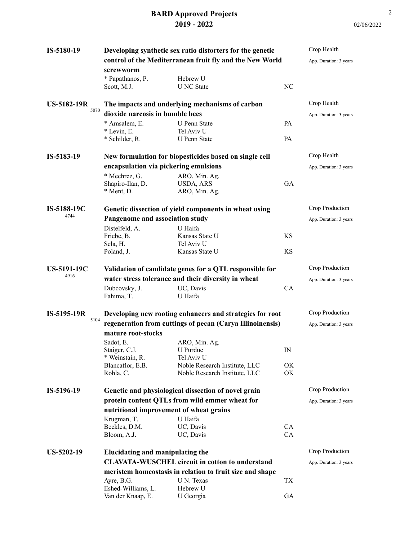| IS-5180-19                 |                                                           | Developing synthetic sex ratio distorters for the genetic<br>control of the Mediterranean fruit fly and the New World |           | Crop Health<br>App. Duration: 3 years |
|----------------------------|-----------------------------------------------------------|-----------------------------------------------------------------------------------------------------------------------|-----------|---------------------------------------|
|                            | screwworm                                                 |                                                                                                                       |           |                                       |
|                            | * Papathanos, P.<br>Scott, M.J.                           | Hebrew U<br><b>U</b> NC State                                                                                         | NC        |                                       |
| <b>US-5182-19R</b><br>5070 | dioxide narcosis in bumble bees                           | The impacts and underlying mechanisms of carbon                                                                       |           | Crop Health<br>App. Duration: 3 years |
|                            | * Amsalem, E.                                             | <b>U</b> Penn State                                                                                                   | <b>PA</b> |                                       |
|                            | * Levin, E.                                               | Tel Aviv U                                                                                                            |           |                                       |
|                            | * Schilder, R.                                            | <b>U</b> Penn State                                                                                                   | <b>PA</b> |                                       |
| IS-5183-19                 |                                                           | New formulation for biopesticides based on single cell                                                                |           | Crop Health                           |
|                            | encapsulation via pickering emulsions                     |                                                                                                                       |           | App. Duration: 3 years                |
|                            | * Mechrez, G.                                             | ARO, Min. Ag.                                                                                                         |           |                                       |
|                            | Shapiro-Ilan, D.                                          | <b>USDA, ARS</b>                                                                                                      | <b>GA</b> |                                       |
|                            | * Ment, D.                                                | ARO, Min. Ag.                                                                                                         |           |                                       |
|                            |                                                           |                                                                                                                       |           |                                       |
| IS-5188-19C<br>4744        |                                                           | Genetic dissection of yield components in wheat using                                                                 |           | Crop Production                       |
|                            | Pangenome and association study                           |                                                                                                                       |           | App. Duration: 3 years                |
|                            | Distelfeld, A.                                            | U Haifa                                                                                                               |           |                                       |
|                            | Friebe, B.                                                | Kansas State U<br>Tel Aviv U                                                                                          | <b>KS</b> |                                       |
|                            | Sela, H.<br>Poland, J.                                    | Kansas State U                                                                                                        | <b>KS</b> |                                       |
|                            |                                                           |                                                                                                                       |           |                                       |
| <b>US-5191-19C</b>         | Validation of candidate genes for a QTL responsible for   |                                                                                                                       |           | Crop Production                       |
| 4916                       |                                                           | water stress tolerance and their diversity in wheat                                                                   |           | App. Duration: 3 years                |
|                            | Dubcovsky, J.                                             | UC, Davis                                                                                                             | CA        |                                       |
|                            | Fahima, T.                                                | U Haifa                                                                                                               |           |                                       |
| IS-5195-19R                |                                                           | Developing new rooting enhancers and strategies for root                                                              |           | Crop Production                       |
| 5104                       | regeneration from cuttings of pecan (Carya Illinoinensis) |                                                                                                                       |           | App. Duration: 3 years                |
|                            | mature root-stocks                                        |                                                                                                                       |           |                                       |
|                            | Sadot, E.                                                 | ARO, Min. Ag.                                                                                                         |           |                                       |
|                            | Staiger, C.J.                                             | U Purdue                                                                                                              | IN        |                                       |
|                            | * Weinstain, R.                                           | Tel Aviv U                                                                                                            |           |                                       |
|                            | Blancaflor, E.B.                                          | Noble Research Institute, LLC                                                                                         | OK        |                                       |
|                            | Rohla, C.                                                 | Noble Research Institute, LLC                                                                                         | OK        |                                       |
| IS-5196-19                 |                                                           | Genetic and physiological dissection of novel grain                                                                   |           | Crop Production                       |
|                            |                                                           | protein content QTLs from wild emmer wheat for                                                                        |           | App. Duration: 3 years                |
|                            | nutritional improvement of wheat grains                   |                                                                                                                       |           |                                       |
|                            | Krugman, T.                                               | U Haifa                                                                                                               |           |                                       |
|                            | Beckles, D.M.                                             | UC, Davis                                                                                                             | CA        |                                       |
|                            | Bloom, A.J.                                               | UC, Davis                                                                                                             | CA        |                                       |
|                            |                                                           |                                                                                                                       |           | Crop Production                       |
| <b>US-5202-19</b>          | Elucidating and manipulating the                          |                                                                                                                       |           |                                       |
|                            |                                                           | <b>CLAVATA-WUSCHEL circuit in cotton to understand</b>                                                                |           | App. Duration: 3 years                |
|                            |                                                           | meristem homeostasis in relation to fruit size and shape                                                              |           |                                       |
|                            | Ayre, B.G.                                                | U N. Texas                                                                                                            | TX        |                                       |
|                            | Eshed-Williams, L.<br>Van der Knaap, E.                   | Hebrew U<br>U Georgia                                                                                                 | GA        |                                       |
|                            |                                                           |                                                                                                                       |           |                                       |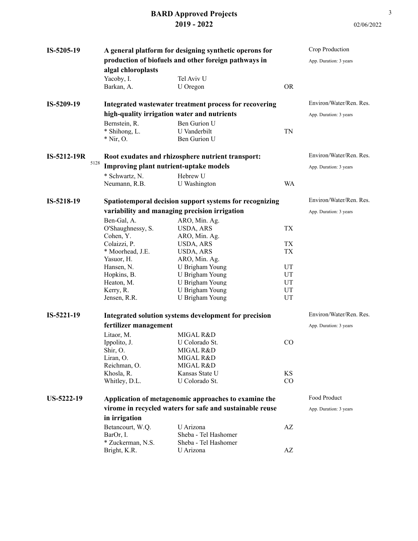|                    |                                                                                                                                                                                                                                        |                                                                                                                                                                                                                                                                                                                                                                                     | Crop Production                                                                                                                                                                                                                                                                                                                                                                                                                                                                                                               |
|--------------------|----------------------------------------------------------------------------------------------------------------------------------------------------------------------------------------------------------------------------------------|-------------------------------------------------------------------------------------------------------------------------------------------------------------------------------------------------------------------------------------------------------------------------------------------------------------------------------------------------------------------------------------|-------------------------------------------------------------------------------------------------------------------------------------------------------------------------------------------------------------------------------------------------------------------------------------------------------------------------------------------------------------------------------------------------------------------------------------------------------------------------------------------------------------------------------|
|                    |                                                                                                                                                                                                                                        |                                                                                                                                                                                                                                                                                                                                                                                     | App. Duration: 3 years                                                                                                                                                                                                                                                                                                                                                                                                                                                                                                        |
| algal chloroplasts |                                                                                                                                                                                                                                        |                                                                                                                                                                                                                                                                                                                                                                                     |                                                                                                                                                                                                                                                                                                                                                                                                                                                                                                                               |
| Yacoby, I.         | Tel Aviv U                                                                                                                                                                                                                             |                                                                                                                                                                                                                                                                                                                                                                                     |                                                                                                                                                                                                                                                                                                                                                                                                                                                                                                                               |
| Barkan, A.         | U Oregon                                                                                                                                                                                                                               | <b>OR</b>                                                                                                                                                                                                                                                                                                                                                                           |                                                                                                                                                                                                                                                                                                                                                                                                                                                                                                                               |
|                    |                                                                                                                                                                                                                                        |                                                                                                                                                                                                                                                                                                                                                                                     | Environ/Water/Ren. Res.                                                                                                                                                                                                                                                                                                                                                                                                                                                                                                       |
|                    |                                                                                                                                                                                                                                        |                                                                                                                                                                                                                                                                                                                                                                                     | App. Duration: 3 years                                                                                                                                                                                                                                                                                                                                                                                                                                                                                                        |
| Bernstein, R.      | Ben Gurion U                                                                                                                                                                                                                           |                                                                                                                                                                                                                                                                                                                                                                                     |                                                                                                                                                                                                                                                                                                                                                                                                                                                                                                                               |
| * Shihong, L.      | U Vanderbilt                                                                                                                                                                                                                           | TN                                                                                                                                                                                                                                                                                                                                                                                  |                                                                                                                                                                                                                                                                                                                                                                                                                                                                                                                               |
|                    |                                                                                                                                                                                                                                        |                                                                                                                                                                                                                                                                                                                                                                                     |                                                                                                                                                                                                                                                                                                                                                                                                                                                                                                                               |
|                    |                                                                                                                                                                                                                                        |                                                                                                                                                                                                                                                                                                                                                                                     | Environ/Water/Ren. Res.                                                                                                                                                                                                                                                                                                                                                                                                                                                                                                       |
|                    |                                                                                                                                                                                                                                        |                                                                                                                                                                                                                                                                                                                                                                                     | App. Duration: 3 years                                                                                                                                                                                                                                                                                                                                                                                                                                                                                                        |
| * Schwartz, N.     | Hebrew U                                                                                                                                                                                                                               |                                                                                                                                                                                                                                                                                                                                                                                     |                                                                                                                                                                                                                                                                                                                                                                                                                                                                                                                               |
|                    |                                                                                                                                                                                                                                        | <b>WA</b>                                                                                                                                                                                                                                                                                                                                                                           |                                                                                                                                                                                                                                                                                                                                                                                                                                                                                                                               |
|                    |                                                                                                                                                                                                                                        |                                                                                                                                                                                                                                                                                                                                                                                     | Environ/Water/Ren. Res.                                                                                                                                                                                                                                                                                                                                                                                                                                                                                                       |
|                    |                                                                                                                                                                                                                                        |                                                                                                                                                                                                                                                                                                                                                                                     | App. Duration: 3 years                                                                                                                                                                                                                                                                                                                                                                                                                                                                                                        |
| Ben-Gal, A.        | ARO, Min. Ag.                                                                                                                                                                                                                          |                                                                                                                                                                                                                                                                                                                                                                                     |                                                                                                                                                                                                                                                                                                                                                                                                                                                                                                                               |
| O'Shaughnessy, S.  | USDA, ARS                                                                                                                                                                                                                              | <b>TX</b>                                                                                                                                                                                                                                                                                                                                                                           |                                                                                                                                                                                                                                                                                                                                                                                                                                                                                                                               |
|                    |                                                                                                                                                                                                                                        |                                                                                                                                                                                                                                                                                                                                                                                     |                                                                                                                                                                                                                                                                                                                                                                                                                                                                                                                               |
|                    |                                                                                                                                                                                                                                        |                                                                                                                                                                                                                                                                                                                                                                                     |                                                                                                                                                                                                                                                                                                                                                                                                                                                                                                                               |
|                    |                                                                                                                                                                                                                                        |                                                                                                                                                                                                                                                                                                                                                                                     |                                                                                                                                                                                                                                                                                                                                                                                                                                                                                                                               |
|                    |                                                                                                                                                                                                                                        |                                                                                                                                                                                                                                                                                                                                                                                     |                                                                                                                                                                                                                                                                                                                                                                                                                                                                                                                               |
|                    |                                                                                                                                                                                                                                        |                                                                                                                                                                                                                                                                                                                                                                                     |                                                                                                                                                                                                                                                                                                                                                                                                                                                                                                                               |
|                    |                                                                                                                                                                                                                                        |                                                                                                                                                                                                                                                                                                                                                                                     |                                                                                                                                                                                                                                                                                                                                                                                                                                                                                                                               |
|                    |                                                                                                                                                                                                                                        |                                                                                                                                                                                                                                                                                                                                                                                     |                                                                                                                                                                                                                                                                                                                                                                                                                                                                                                                               |
| Jensen, R.R.       | U Brigham Young                                                                                                                                                                                                                        | UT                                                                                                                                                                                                                                                                                                                                                                                  |                                                                                                                                                                                                                                                                                                                                                                                                                                                                                                                               |
|                    |                                                                                                                                                                                                                                        |                                                                                                                                                                                                                                                                                                                                                                                     | Environ/Water/Ren. Res.                                                                                                                                                                                                                                                                                                                                                                                                                                                                                                       |
|                    |                                                                                                                                                                                                                                        |                                                                                                                                                                                                                                                                                                                                                                                     | App. Duration: 3 years                                                                                                                                                                                                                                                                                                                                                                                                                                                                                                        |
|                    |                                                                                                                                                                                                                                        |                                                                                                                                                                                                                                                                                                                                                                                     |                                                                                                                                                                                                                                                                                                                                                                                                                                                                                                                               |
|                    | U Colorado St.                                                                                                                                                                                                                         | CO                                                                                                                                                                                                                                                                                                                                                                                  |                                                                                                                                                                                                                                                                                                                                                                                                                                                                                                                               |
|                    | MIGAL R&D                                                                                                                                                                                                                              |                                                                                                                                                                                                                                                                                                                                                                                     |                                                                                                                                                                                                                                                                                                                                                                                                                                                                                                                               |
| Liran, O.          | MIGAL R&D                                                                                                                                                                                                                              |                                                                                                                                                                                                                                                                                                                                                                                     |                                                                                                                                                                                                                                                                                                                                                                                                                                                                                                                               |
| Reichman, O.       | MIGAL R&D                                                                                                                                                                                                                              |                                                                                                                                                                                                                                                                                                                                                                                     |                                                                                                                                                                                                                                                                                                                                                                                                                                                                                                                               |
| Khosla, R.         | Kansas State U                                                                                                                                                                                                                         | <b>KS</b>                                                                                                                                                                                                                                                                                                                                                                           |                                                                                                                                                                                                                                                                                                                                                                                                                                                                                                                               |
|                    |                                                                                                                                                                                                                                        | CO                                                                                                                                                                                                                                                                                                                                                                                  |                                                                                                                                                                                                                                                                                                                                                                                                                                                                                                                               |
|                    |                                                                                                                                                                                                                                        |                                                                                                                                                                                                                                                                                                                                                                                     | Food Product                                                                                                                                                                                                                                                                                                                                                                                                                                                                                                                  |
|                    |                                                                                                                                                                                                                                        |                                                                                                                                                                                                                                                                                                                                                                                     | App. Duration: 3 years                                                                                                                                                                                                                                                                                                                                                                                                                                                                                                        |
| in irrigation      |                                                                                                                                                                                                                                        |                                                                                                                                                                                                                                                                                                                                                                                     |                                                                                                                                                                                                                                                                                                                                                                                                                                                                                                                               |
| Betancourt, W.Q.   | U Arizona                                                                                                                                                                                                                              | AZ                                                                                                                                                                                                                                                                                                                                                                                  |                                                                                                                                                                                                                                                                                                                                                                                                                                                                                                                               |
| BarOr, I.          | Sheba - Tel Hashomer                                                                                                                                                                                                                   |                                                                                                                                                                                                                                                                                                                                                                                     |                                                                                                                                                                                                                                                                                                                                                                                                                                                                                                                               |
| * Zuckerman, N.S.  | Sheba - Tel Hashomer                                                                                                                                                                                                                   |                                                                                                                                                                                                                                                                                                                                                                                     |                                                                                                                                                                                                                                                                                                                                                                                                                                                                                                                               |
|                    |                                                                                                                                                                                                                                        |                                                                                                                                                                                                                                                                                                                                                                                     |                                                                                                                                                                                                                                                                                                                                                                                                                                                                                                                               |
|                    | $*$ Nir, O.<br>5128<br>Neumann, R.B.<br>Cohen, Y.<br>Colaizzi, P.<br>* Moorhead, J.E.<br>Yasuor, H.<br>Hansen, N.<br>Hopkins, B.<br>Heaton, M.<br>Kerry, R.<br>Litaor, M.<br>Ippolito, J.<br>Shir, O.<br>Whitley, D.L.<br>Bright, K.R. | high-quality irrigation water and nutrients<br>Ben Gurion U<br>Improving plant nutrient-uptake models<br>U Washington<br>variability and managing precision irrigation<br>ARO, Min. Ag.<br>USDA, ARS<br>USDA, ARS<br>ARO, Min. Ag.<br>U Brigham Young<br>U Brigham Young<br>U Brigham Young<br>U Brigham Young<br>fertilizer management<br>MIGAL R&D<br>U Colorado St.<br>U Arizona | A general platform for designing synthetic operons for<br>production of biofuels and other foreign pathways in<br>Integrated wastewater treatment process for recovering<br>Root exudates and rhizosphere nutrient transport:<br>Spatiotemporal decision support systems for recognizing<br><b>TX</b><br><b>TX</b><br>UT<br>UT<br>UT<br>UT<br>Integrated solution systems development for precision<br>Application of metagenomic approaches to examine the<br>virome in recycled waters for safe and sustainable reuse<br>AZ |

3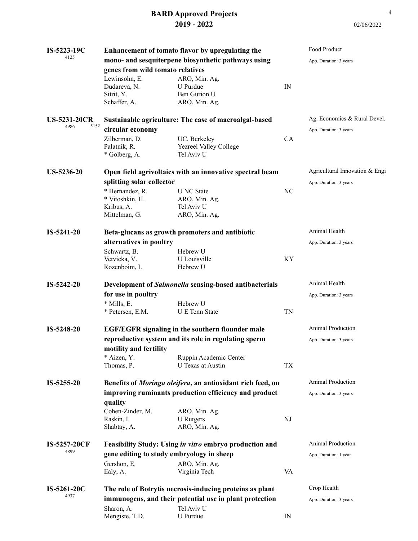| IS-5223-19C                         |                                                                   | Enhancement of tomato flavor by upregulating the                      |    | Food Product                   |
|-------------------------------------|-------------------------------------------------------------------|-----------------------------------------------------------------------|----|--------------------------------|
| 4125                                |                                                                   | mono- and sesquiterpene biosynthetic pathways using                   |    | App. Duration: 3 years         |
|                                     | genes from wild tomato relatives                                  |                                                                       |    |                                |
|                                     | Lewinsohn, E.<br>Dudareva, N.<br>Sitrit, Y.<br>Schaffer, A.       | ARO, Min. Ag.<br>U Purdue<br>Ben Gurion U<br>ARO, Min. Ag.            | IN |                                |
| <b>US-5231-20CR</b><br>5152<br>4986 |                                                                   | Sustainable agriculture: The case of macroalgal-based                 |    | Ag. Economics & Rural Devel.   |
|                                     | circular economy                                                  |                                                                       |    | App. Duration: 3 years         |
|                                     | Zilberman, D.<br>Palatnik, R.<br>* Golberg, A.                    | UC, Berkeley<br>Yezreel Valley College<br>Tel Aviv U                  | CA |                                |
| <b>US-5236-20</b>                   |                                                                   | Open field agrivoltaics with an innovative spectral beam              |    | Agricultural Innovation & Engi |
|                                     | splitting solar collector                                         |                                                                       |    | App. Duration: 3 years         |
|                                     | * Hernandez, R.<br>* Vitoshkin, H.<br>Kribus, A.<br>Mittelman, G. | <b>U</b> NC State<br>ARO, Min. Ag.<br>Tel Aviv U<br>ARO, Min. Ag.     | NC |                                |
| $IS-5241-20$                        |                                                                   | Beta-glucans as growth promoters and antibiotic                       |    | Animal Health                  |
|                                     | alternatives in poultry                                           |                                                                       |    | App. Duration: 3 years         |
|                                     | Schwartz, B.                                                      | Hebrew U                                                              |    |                                |
|                                     | Vetvicka, V.                                                      | U Louisville                                                          | KY |                                |
|                                     | Rozenboim, I.                                                     | Hebrew U                                                              |    |                                |
| IS-5242-20                          |                                                                   | Development of Salmonella sensing-based antibacterials                |    | Animal Health                  |
|                                     | for use in poultry                                                |                                                                       |    | App. Duration: 3 years         |
|                                     | * Mills, E.<br>* Petersen, E.M.                                   | Hebrew U<br><b>U</b> E Tenn State                                     | TN |                                |
| IS-5248-20                          |                                                                   | <b>EGF/EGFR</b> signaling in the southern flounder male               |    | <b>Animal Production</b>       |
|                                     |                                                                   | reproductive system and its role in regulating sperm                  |    | App. Duration: 3 years         |
|                                     | motility and fertility                                            |                                                                       |    |                                |
|                                     | * Aizen, Y.                                                       | Ruppin Academic Center                                                |    |                                |
|                                     | Thomas, P.                                                        | U Texas at Austin                                                     | TX |                                |
| IS-5255-20                          |                                                                   | Benefits of Moringa oleifera, an antioxidant rich feed, on            |    | <b>Animal Production</b>       |
|                                     |                                                                   | improving ruminants production efficiency and product                 |    | App. Duration: 3 years         |
|                                     | quality                                                           |                                                                       |    |                                |
|                                     | Cohen-Zinder, M.                                                  | ARO, Min. Ag.                                                         |    |                                |
|                                     | Raskin, I.                                                        | U Rutgers                                                             | NJ |                                |
|                                     | Shabtay, A.                                                       | ARO, Min. Ag.                                                         |    |                                |
| IS-5257-20CF<br>4899                |                                                                   | Feasibility Study: Using in vitro embryo production and               |    | <b>Animal Production</b>       |
|                                     |                                                                   | gene editing to study embryology in sheep                             |    | App. Duration: 1 year          |
|                                     | Gershon, E.<br>Ealy, A.                                           | ARO, Min. Ag.<br>Virginia Tech                                        | VA |                                |
|                                     |                                                                   |                                                                       |    | Crop Health                    |
| IS-5261-20C<br>4937                 |                                                                   | The role of Botrytis necrosis-inducing proteins as plant              |    |                                |
|                                     | Sharon, A.                                                        | immunogens, and their potential use in plant protection<br>Tel Aviv U |    | App. Duration: 3 years         |
|                                     | Mengiste, T.D.                                                    | U Purdue                                                              | IN |                                |

02/06/2022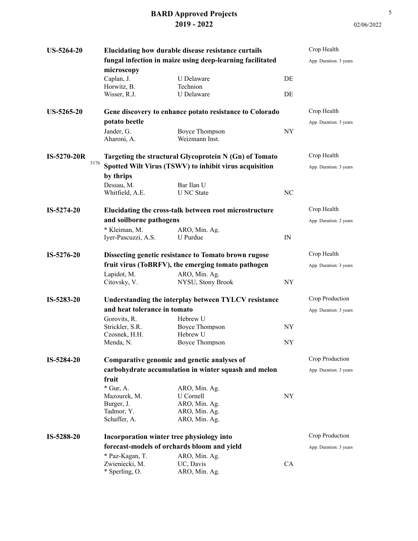| <b>US-5264-20</b>  |                                                           | Elucidating how durable disease resistance curtails     |                          | Crop Health            |
|--------------------|-----------------------------------------------------------|---------------------------------------------------------|--------------------------|------------------------|
|                    | fungal infection in maize using deep-learning facilitated |                                                         |                          | App. Duration: 3 years |
|                    | microscopy                                                |                                                         |                          |                        |
|                    | Caplan, J.                                                | U Delaware                                              | DE                       |                        |
|                    | Horwitz, B.                                               | Technion                                                |                          |                        |
|                    | Wisser, R.J.                                              | U Delaware                                              | DE                       |                        |
| <b>US-5265-20</b>  |                                                           | Gene discovery to enhance potato resistance to Colorado |                          | Crop Health            |
|                    | potato beetle                                             |                                                         |                          | App. Duration: 3 years |
|                    | Jander, G.                                                | <b>Boyce Thompson</b>                                   | NY                       |                        |
|                    | Aharoni, A.                                               | Weizmann Inst.                                          |                          |                        |
| <b>IS-5270-20R</b> |                                                           | Targeting the structural Glycoprotein N (Gn) of Tomato  |                          | Crop Health            |
| 5176               |                                                           | Spotted Wilt Virus (TSWV) to inhibit virus acquisition  |                          | App. Duration: 3 years |
|                    | by thrips                                                 |                                                         |                          |                        |
|                    | Dessau, M.                                                | Bar Ilan U                                              |                          |                        |
|                    | Whitfield, A.E.                                           | <b>U</b> NC State                                       | NC                       |                        |
|                    |                                                           |                                                         |                          |                        |
| $IS-5274-20$       |                                                           | Elucidating the cross-talk between root microstructure  |                          | Crop Health            |
|                    | and soilborne pathogens                                   |                                                         |                          | App. Duration: 2 years |
|                    | * Kleiman, M.                                             | ARO, Min. Ag.                                           |                          |                        |
|                    | Iyer-Pascuzzi, A.S.                                       | U Purdue                                                | IN                       |                        |
| IS-5276-20         |                                                           | Dissecting genetic resistance to Tomato brown rugose    |                          | Crop Health            |
|                    |                                                           | fruit virus (ToBRFV), the emerging tomato pathogen      |                          | App. Duration: 3 years |
|                    | Lapidot, M.                                               | ARO, Min. Ag.                                           |                          |                        |
|                    | Citovsky, V.                                              | NYSU, Stony Brook                                       | NY                       |                        |
| IS-5283-20         |                                                           | Understanding the interplay between TYLCV resistance    |                          | Crop Production        |
|                    | and heat tolerance in tomato                              |                                                         |                          | App. Duration: 3 years |
|                    | Gorovits, R.                                              | Hebrew U                                                |                          |                        |
|                    | Strickler, S.R.                                           | <b>Boyce Thompson</b>                                   | NY                       |                        |
|                    | Czosnek, H.H.                                             | Hebrew U                                                |                          |                        |
|                    | Menda, N.                                                 | <b>Boyce Thompson</b>                                   | NY                       |                        |
| IS-5284-20         |                                                           | Comparative genomic and genetic analyses of             |                          | Crop Production        |
|                    |                                                           | carbohydrate accumulation in winter squash and melon    |                          | App. Duration: 3 years |
|                    | fruit                                                     |                                                         |                          |                        |
|                    | $*$ Gur, A.                                               | ARO, Min. Ag.                                           |                          |                        |
|                    | Mazourek, M.                                              | U Cornell                                               | $\ensuremath{\text{NY}}$ |                        |
|                    | Burger, J.                                                | ARO, Min. Ag.                                           |                          |                        |
|                    | Tadmor, Y.                                                | ARO, Min. Ag.                                           |                          |                        |
|                    | Schaffer, A.                                              | ARO, Min. Ag.                                           |                          |                        |
| IS-5288-20         | Incorporation winter tree physiology into                 |                                                         |                          | Crop Production        |
|                    | forecast-models of orchards bloom and yield               |                                                         |                          | App. Duration: 3 years |
|                    | * Paz-Kagan, T.                                           | ARO, Min. Ag.                                           |                          |                        |
|                    | Zwieniecki, M.                                            | UC, Davis                                               | CA                       |                        |
|                    | * Sperling, O.                                            | ARO, Min. Ag.                                           |                          |                        |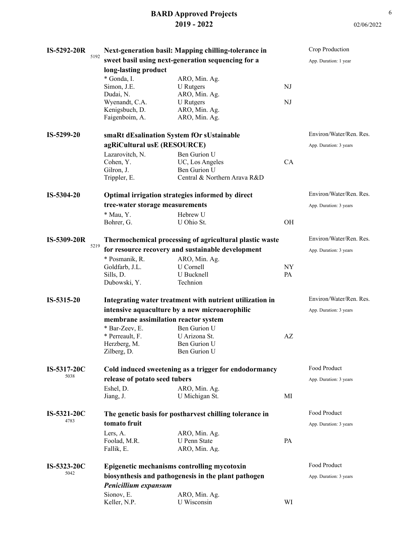| <b>IS-5292-20R</b> |      |                                                   | Next-generation basil: Mapping chilling-tolerance in     |           | Crop Production         |
|--------------------|------|---------------------------------------------------|----------------------------------------------------------|-----------|-------------------------|
|                    | 5192 |                                                   | sweet basil using next-generation sequencing for a       |           | App. Duration: 1 year   |
|                    |      | long-lasting product                              |                                                          |           |                         |
|                    |      | * Gonda, I.                                       | ARO, Min. Ag.                                            |           |                         |
|                    |      | Simon, J.E.                                       | <b>U</b> Rutgers                                         | NJ        |                         |
|                    |      | Dudai, N.                                         | ARO, Min. Ag.                                            |           |                         |
|                    |      | Wyenandt, C.A.                                    | <b>U</b> Rutgers                                         | NJ        |                         |
|                    |      | Kenigsbuch, D.<br>Faigenboim, A.                  | ARO, Min. Ag.<br>ARO, Min. Ag.                           |           |                         |
|                    |      |                                                   |                                                          |           |                         |
| IS-5299-20         |      | smaRt dEsalination System fOr sUstainable         |                                                          |           | Environ/Water/Ren. Res. |
|                    |      | agRiCultural usE (RESOURCE)                       |                                                          |           | App. Duration: 3 years  |
|                    |      | Lazarovitch, N.                                   | Ben Gurion U                                             |           |                         |
|                    |      | Cohen, Y.                                         | UC, Los Angeles                                          | CA        |                         |
|                    |      | Gilron, J.                                        | Ben Gurion U                                             |           |                         |
|                    |      | Trippler, E.                                      | Central & Northern Arava R&D                             |           |                         |
| IS-5304-20         |      |                                                   | Optimal irrigation strategies informed by direct         |           | Environ/Water/Ren. Res. |
|                    |      | tree-water storage measurements                   |                                                          |           | App. Duration: 3 years  |
|                    |      | * Mau, Y.                                         | Hebrew U                                                 |           |                         |
|                    |      | Bohrer, G.                                        | U Ohio St.                                               | OH        |                         |
| IS-5309-20R        |      |                                                   | Thermochemical processing of agricultural plastic waste  |           | Environ/Water/Ren. Res. |
|                    | 5219 | for resource recovery and sustainable development |                                                          |           | App. Duration: 3 years  |
|                    |      | * Posmanik, R.                                    | ARO, Min. Ag.                                            |           |                         |
|                    |      | Goldfarb, J.L.                                    | U Cornell                                                | <b>NY</b> |                         |
|                    |      | Sills, D.                                         | U Bucknell                                               | PA        |                         |
|                    |      | Dubowski, Y.                                      | Technion                                                 |           |                         |
| IS-5315-20         |      |                                                   | Integrating water treatment with nutrient utilization in |           | Environ/Water/Ren. Res. |
|                    |      |                                                   | intensive aquaculture by a new microaerophilic           |           | App. Duration: 3 years  |
|                    |      | membrane assimilation reactor system              |                                                          |           |                         |
|                    |      | * Bar-Zeev, E.                                    | Ben Gurion U                                             |           |                         |
|                    |      | * Perreault, F.                                   | U Arizona St.                                            | AZ        |                         |
|                    |      | Herzberg, M.                                      | Ben Gurion U                                             |           |                         |
|                    |      | Zilberg, D.                                       | Ben Gurion U                                             |           |                         |
| IS-5317-20C        |      |                                                   | Cold induced sweetening as a trigger for endodormancy    |           | Food Product            |
| 5038               |      | release of potato seed tubers                     |                                                          |           | App. Duration: 3 years  |
|                    |      | Eshel, D.                                         | ARO, Min. Ag.                                            |           |                         |
|                    |      | Jiang, J.                                         | U Michigan St.                                           | MI        |                         |
| <b>IS-5321-20C</b> |      |                                                   | The genetic basis for postharvest chilling tolerance in  |           | Food Product            |
| 4783               |      | tomato fruit                                      |                                                          |           | App. Duration: 3 years  |
|                    |      | Lers, A.                                          | ARO, Min. Ag.                                            |           |                         |
|                    |      | Foolad, M.R.                                      | <b>U</b> Penn State                                      | PA        |                         |
|                    |      | Fallik, E.                                        | ARO, Min. Ag.                                            |           |                         |
| IS-5323-20C        |      |                                                   | Epigenetic mechanisms controlling mycotoxin              |           | Food Product            |
| 5042               |      |                                                   | biosynthesis and pathogenesis in the plant pathogen      |           | App. Duration: 3 years  |
|                    |      | Penicillium expansum                              |                                                          |           |                         |
|                    |      | Sionov, E.                                        | ARO, Min. Ag.                                            |           |                         |
|                    |      | Keller, N.P.                                      | U Wisconsin                                              | WI        |                         |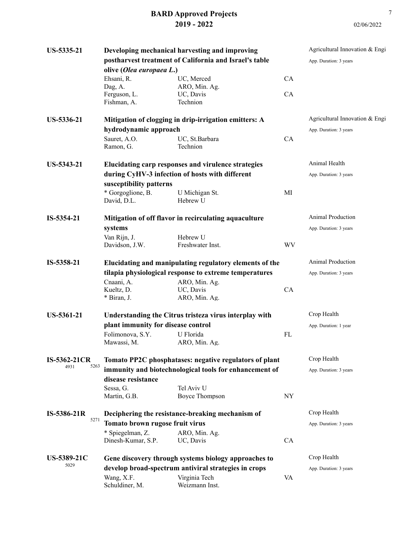| US-5335-21         | olive (Olea europaea L.)               | Developing mechanical harvesting and improving<br>postharvest treatment of California and Israel's table |           | Agricultural Innovation & Engi<br>App. Duration: 3 years |
|--------------------|----------------------------------------|----------------------------------------------------------------------------------------------------------|-----------|----------------------------------------------------------|
|                    | Ehsani, R.                             | UC, Merced                                                                                               | CA        |                                                          |
|                    | Dag, A.<br>Ferguson, L.<br>Fishman, A. | ARO, Min. Ag.<br>UC, Davis<br>Technion                                                                   | CA        |                                                          |
| US-5336-21         |                                        | Mitigation of clogging in drip-irrigation emitters: A                                                    |           | Agricultural Innovation & Engi                           |
|                    | hydrodynamic approach                  |                                                                                                          |           | App. Duration: 3 years                                   |
|                    | Sauret, A.O.<br>Ramon, G.              | UC, St.Barbara<br>Technion                                                                               | CA        |                                                          |
| US-5343-21         |                                        | Elucidating carp responses and virulence strategies                                                      |           | Animal Health                                            |
|                    |                                        | during CyHV-3 infection of hosts with different                                                          |           | App. Duration: 3 years                                   |
|                    | susceptibility patterns                |                                                                                                          |           |                                                          |
|                    | * Gorgoglione, B.<br>David, D.L.       | U Michigan St.<br>Hebrew U                                                                               | MI        |                                                          |
| IS-5354-21         |                                        | Mitigation of off flavor in recirculating aquaculture                                                    |           | <b>Animal Production</b>                                 |
|                    | systems                                |                                                                                                          |           | App. Duration: 3 years                                   |
|                    | Van Rijn, J.<br>Davidson, J.W.         | Hebrew U<br>Freshwater Inst.                                                                             | <b>WV</b> |                                                          |
| IS-5358-21         |                                        | Elucidating and manipulating regulatory elements of the                                                  |           | Animal Production                                        |
|                    |                                        | tilapia physiological response to extreme temperatures                                                   |           | App. Duration: 3 years                                   |
|                    | Cnaani, A.<br>Kueltz, D.               | ARO, Min. Ag.<br>UC, Davis                                                                               | CA        |                                                          |
|                    | * Biran, J.                            | ARO, Min. Ag.                                                                                            |           |                                                          |
| <b>US-5361-21</b>  |                                        | Understanding the Citrus tristeza virus interplay with                                                   |           | Crop Health                                              |
|                    | plant immunity for disease control     |                                                                                                          |           | App. Duration: 1 year                                    |
|                    | Folimonova, S.Y.<br>Mawassi, M.        | U Florida<br>ARO, Min. Ag.                                                                               | FL        |                                                          |
| IS-5362-21CR       |                                        | Tomato PP2C phosphatases: negative regulators of plant                                                   |           | Crop Health                                              |
| 5263<br>4931       | disease resistance                     | immunity and biotechnological tools for enhancement of                                                   |           | App. Duration: 3 years                                   |
|                    | Sessa, G.                              | Tel Aviv U                                                                                               |           |                                                          |
|                    | Martin, G.B.                           | <b>Boyce Thompson</b>                                                                                    | NY        |                                                          |
| IS-5386-21R        |                                        | Deciphering the resistance-breaking mechanism of                                                         |           | Crop Health                                              |
| 5271               | Tomato brown rugose fruit virus        |                                                                                                          |           | App. Duration: 3 years                                   |
|                    | * Spiegelman, Z.<br>Dinesh-Kumar, S.P. | ARO, Min. Ag.<br>UC, Davis                                                                               | CA        |                                                          |
| <b>US-5389-21C</b> |                                        | Gene discovery through systems biology approaches to                                                     |           | Crop Health                                              |
| 5029               |                                        | develop broad-spectrum antiviral strategies in crops                                                     |           | App. Duration: 3 years                                   |
|                    | Wang, X.F.<br>Schuldiner, M.           | Virginia Tech<br>Weizmann Inst.                                                                          | VA        |                                                          |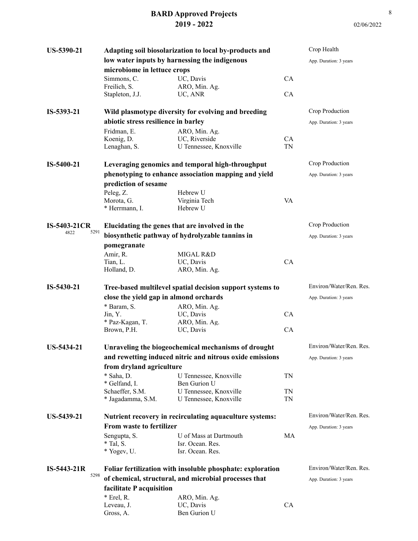| <b>US-5390-21</b>   |                                        | Adapting soil biosolarization to local by-products and     |           | Crop Health             |
|---------------------|----------------------------------------|------------------------------------------------------------|-----------|-------------------------|
|                     |                                        | low water inputs by harnessing the indigenous              |           | App. Duration: 3 years  |
|                     | microbiome in lettuce crops            |                                                            |           |                         |
|                     | Simmons, C.                            | UC, Davis                                                  | CA        |                         |
|                     | Freilich, S.                           | ARO, Min. Ag.                                              |           |                         |
|                     | Stapleton, J.J.                        | UC, ANR                                                    | CA        |                         |
| IS-5393-21          |                                        | Wild plasmotype diversity for evolving and breeding        |           | Crop Production         |
|                     | abiotic stress resilience in barley    |                                                            |           | App. Duration: 3 years  |
|                     | Fridman, E.                            | ARO, Min. Ag.                                              |           |                         |
|                     | Koenig, D.                             | UC, Riverside                                              | CA        |                         |
|                     | Lenaghan, S.                           | U Tennessee, Knoxville                                     | <b>TN</b> |                         |
| IS-5400-21          |                                        | Leveraging genomics and temporal high-throughput           |           | Crop Production         |
|                     |                                        | phenotyping to enhance association mapping and yield       |           | App. Duration: 3 years  |
|                     | prediction of sesame                   |                                                            |           |                         |
|                     | Peleg, Z.                              | Hebrew U                                                   |           |                         |
|                     | Morota, G.                             | Virginia Tech                                              | VA        |                         |
|                     | * Herrmann, I.                         | Hebrew U                                                   |           |                         |
| <b>IS-5403-21CR</b> |                                        | Elucidating the genes that are involved in the             |           | Crop Production         |
| 5291<br>4822        |                                        | biosynthetic pathway of hydrolyzable tannins in            |           | App. Duration: 3 years  |
|                     | pomegranate                            |                                                            |           |                         |
|                     | Amir, R.                               | MIGAL R&D                                                  |           |                         |
|                     | Tian, L.                               | UC, Davis                                                  | CA        |                         |
|                     | Holland, D.                            | ARO, Min. Ag.                                              |           |                         |
| IS-5430-21          |                                        | Tree-based multilevel spatial decision support systems to  |           | Environ/Water/Ren. Res. |
|                     |                                        |                                                            |           |                         |
|                     |                                        |                                                            |           |                         |
|                     | close the yield gap in almond orchards |                                                            |           | App. Duration: 3 years  |
|                     | * Baram, S.                            | ARO, Min. Ag.                                              |           |                         |
|                     | Jin, Y.<br>* Paz-Kagan, T.             | UC, Davis<br>ARO, Min. Ag.                                 | CA        |                         |
|                     | Brown, P.H.                            | UC, Davis                                                  | CA        |                         |
| US-5434-21          |                                        | Unraveling the biogeochemical mechanisms of drought        |           | Environ/Water/Ren. Res. |
|                     |                                        |                                                            |           | App. Duration: 3 years  |
|                     |                                        | and rewetting induced nitric and nitrous oxide emissions   |           |                         |
|                     | from dryland agriculture<br>* Saha, D. | U Tennessee, Knoxville                                     | TN        |                         |
|                     | * Gelfand, I.                          | Ben Gurion U                                               |           |                         |
|                     | Schaeffer, S.M.                        | U Tennessee, Knoxville                                     | TN        |                         |
|                     | * Jagadamma, S.M.                      | U Tennessee, Knoxville                                     | TN        |                         |
| US-5439-21          |                                        | Nutrient recovery in recirculating aquaculture systems:    |           | Environ/Water/Ren. Res. |
|                     | From waste to fertilizer               |                                                            |           | App. Duration: 3 years  |
|                     |                                        | U of Mass at Dartmouth                                     | MA        |                         |
|                     | Sengupta, S.<br>$*$ Tal, S.            | Isr. Ocean. Res.                                           |           |                         |
|                     | * Yogev, U.                            | Isr. Ocean. Res.                                           |           |                         |
| $IS-5443-21R$       |                                        | Foliar fertilization with insoluble phosphate: exploration |           | Environ/Water/Ren. Res. |
| 5298                |                                        | of chemical, structural, and microbial processes that      |           | App. Duration: 3 years  |
|                     |                                        |                                                            |           |                         |
|                     | facilitate P acquisition               |                                                            |           |                         |
|                     | $*$ Erel, R.<br>Leveau, J.             | ARO, Min. Ag.<br>UC, Davis                                 | CA        |                         |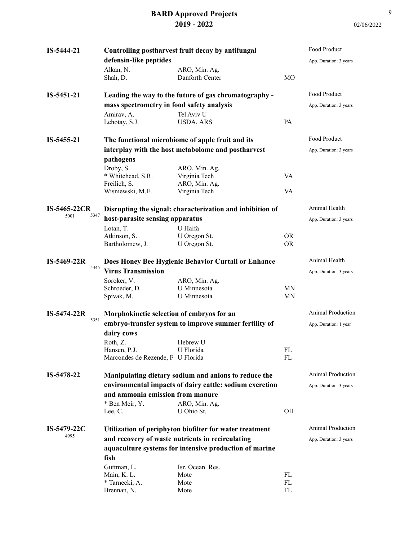| IS-5444-21          | Controlling postharvest fruit decay by antifungal     |                                                           |                            | Food Product             |
|---------------------|-------------------------------------------------------|-----------------------------------------------------------|----------------------------|--------------------------|
|                     | defensin-like peptides                                |                                                           |                            | App. Duration: 3 years   |
|                     | Alkan, N.                                             | ARO, Min. Ag.                                             |                            |                          |
|                     | Shah, D.                                              | Danforth Center                                           | <b>MO</b>                  |                          |
|                     |                                                       |                                                           |                            |                          |
| IS-5451-21          |                                                       | Leading the way to the future of gas chromatography -     |                            | Food Product             |
|                     | mass spectrometry in food safety analysis             |                                                           |                            | App. Duration: 3 years   |
|                     | Amirav, A.                                            | Tel Aviv U                                                |                            |                          |
|                     | Lehotay, S.J.                                         | USDA, ARS                                                 | <b>PA</b>                  |                          |
|                     |                                                       |                                                           |                            |                          |
| IS-5455-21          |                                                       | The functional microbiome of apple fruit and its          |                            | Food Product             |
|                     |                                                       | interplay with the host metabolome and postharvest        |                            | App. Duration: 3 years   |
|                     | pathogens                                             |                                                           |                            |                          |
|                     | Droby, S.                                             | ARO, Min. Ag.                                             |                            |                          |
|                     | * Whitehead, S.R.                                     | Virginia Tech                                             | VA                         |                          |
|                     | Freilich, S.                                          | ARO, Min. Ag.                                             |                            |                          |
|                     | Wisniewski, M.E.                                      | Virginia Tech                                             | VA                         |                          |
|                     |                                                       |                                                           |                            |                          |
| <b>IS-5465-22CR</b> |                                                       | Disrupting the signal: characterization and inhibition of |                            | Animal Health            |
| 5347<br>5001        | host-parasite sensing apparatus                       |                                                           |                            | App. Duration: 3 years   |
|                     |                                                       |                                                           |                            |                          |
|                     | Lotan, T.<br>Atkinson, S.                             | U Haifa                                                   | <b>OR</b>                  |                          |
|                     | Bartholomew, J.                                       | U Oregon St.<br>U Oregon St.                              | <b>OR</b>                  |                          |
|                     |                                                       |                                                           |                            |                          |
| $IS-5469-22R$       |                                                       | Does Honey Bee Hygienic Behavior Curtail or Enhance       |                            | Animal Health            |
| 5345                | <b>Virus Transmission</b>                             |                                                           |                            | App. Duration: 3 years   |
|                     | Soroker, V.                                           | ARO, Min. Ag.                                             |                            |                          |
|                     | Schroeder, D.                                         | U Minnesota                                               | <b>MN</b>                  |                          |
|                     | Spivak, M.                                            | U Minnesota                                               | <b>MN</b>                  |                          |
|                     |                                                       |                                                           |                            |                          |
| $IS-5474-22R$       | Morphokinetic selection of embryos for an             |                                                           |                            | <b>Animal Production</b> |
| 5351                | embryo-transfer system to improve summer fertility of |                                                           |                            | App. Duration: 1 year    |
|                     | dairy cows                                            |                                                           |                            |                          |
|                     |                                                       | Hebrew U                                                  |                            |                          |
|                     | Roth, Z.<br>Hansen, P.J.                              | U Florida                                                 | $\mathop{\rm FL}\nolimits$ |                          |
|                     | Marcondes de Rezende, F U Florida                     |                                                           | FL                         |                          |
|                     |                                                       |                                                           |                            |                          |
| IS-5478-22          |                                                       | Manipulating dietary sodium and anions to reduce the      |                            | Animal Production        |
|                     |                                                       | environmental impacts of dairy cattle: sodium excretion   |                            | App. Duration: 3 years   |
|                     | and ammonia emission from manure                      |                                                           |                            |                          |
|                     | * Ben Meir, Y.                                        | ARO, Min. Ag.                                             |                            |                          |
|                     | Lee, C.                                               | U Ohio St.                                                | OH                         |                          |
|                     |                                                       |                                                           |                            |                          |
| IS-5479-22C<br>4995 |                                                       | Utilization of periphyton biofilter for water treatment   |                            | Animal Production        |
|                     |                                                       | and recovery of waste nutrients in recirculating          |                            | App. Duration: 3 years   |
|                     |                                                       | aquaculture systems for intensive production of marine    |                            |                          |
|                     | fish                                                  |                                                           |                            |                          |
|                     | Guttman, L.                                           | Isr. Ocean. Res.                                          |                            |                          |
|                     | Main, K. L.                                           | Mote                                                      | FL                         |                          |
|                     | * Tarnecki, A.                                        | Mote                                                      | ${\rm FL}$                 |                          |
|                     | Brennan, N.                                           | Mote                                                      | FL                         |                          |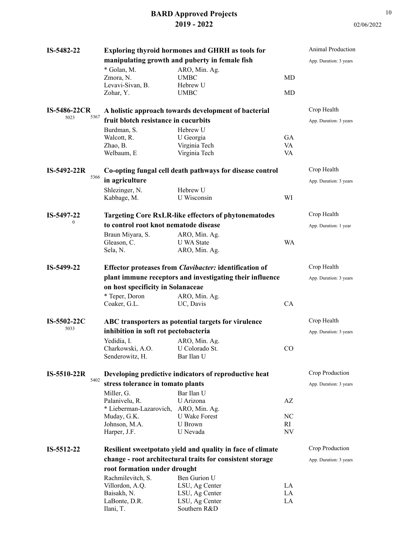| IS-5482-22          |                                       | <b>Exploring thyroid hormones and GHRH as tools for</b>       |                          | Animal Production      |
|---------------------|---------------------------------------|---------------------------------------------------------------|--------------------------|------------------------|
|                     |                                       | manipulating growth and puberty in female fish                |                          | App. Duration: 3 years |
|                     | * Golan, M.                           | ARO, Min. Ag.                                                 |                          |                        |
|                     | Zmora, N.                             | <b>UMBC</b>                                                   | MD                       |                        |
|                     | Levavi-Sivan, B.                      | Hebrew U                                                      |                          |                        |
|                     | Zohar, Y.                             | <b>UMBC</b>                                                   | MD                       |                        |
|                     |                                       |                                                               |                          |                        |
| <b>IS-5486-22CR</b> |                                       | A holistic approach towards development of bacterial          |                          | Crop Health            |
| 5367<br>5023        | fruit blotch resistance in cucurbits  |                                                               |                          |                        |
|                     |                                       |                                                               |                          | App. Duration: 3 years |
|                     | Burdman, S.                           | Hebrew U                                                      |                          |                        |
|                     | Walcott, R.                           | U Georgia                                                     | <b>GA</b>                |                        |
|                     | Zhao, B.                              | Virginia Tech                                                 | VA                       |                        |
|                     | Welbaum, E                            | Virginia Tech                                                 | VA                       |                        |
|                     |                                       |                                                               |                          |                        |
| $IS-5492-22R$       |                                       | Co-opting fungal cell death pathways for disease control      |                          | Crop Health            |
| 5366                | in agriculture                        |                                                               |                          | App. Duration: 3 years |
|                     | Shlezinger, N.                        | Hebrew U                                                      |                          |                        |
|                     | Kabbage, M.                           | U Wisconsin                                                   | WI                       |                        |
|                     |                                       |                                                               |                          |                        |
| IS-5497-22          |                                       | <b>Targeting Core RxLR-like effectors of phytonematodes</b>   |                          | Crop Health            |
| $\mathbf{0}$        |                                       |                                                               |                          |                        |
|                     | to control root knot nematode disease |                                                               |                          | App. Duration: 1 year  |
|                     | Braun Miyara, S.                      | ARO, Min. Ag.                                                 |                          |                        |
|                     | Gleason, C.                           | <b>U</b> WA State                                             | <b>WA</b>                |                        |
|                     | Sela, N.                              | ARO, Min. Ag.                                                 |                          |                        |
|                     |                                       |                                                               |                          |                        |
| IS-5499-22          |                                       | <b>Effector proteases from Clavibacter: identification of</b> |                          | Crop Health            |
|                     |                                       | plant immune receptors and investigating their influence      |                          | App. Duration: 3 years |
|                     | on host specificity in Solanaceae     |                                                               |                          |                        |
|                     | * Teper, Doron                        | ARO, Min. Ag.                                                 |                          |                        |
|                     | Coaker, G.L.                          | UC, Davis                                                     | CA                       |                        |
|                     |                                       |                                                               |                          |                        |
|                     |                                       |                                                               |                          |                        |
|                     |                                       |                                                               |                          |                        |
| IS-5502-22C         |                                       | ABC transporters as potential targets for virulence           |                          | Crop Health            |
| 5033                | inhibition in soft rot pectobacteria  |                                                               |                          | App. Duration: 3 years |
|                     | Yedidia, I.                           | ARO, Min. Ag.                                                 |                          |                        |
|                     | Charkowski, A.O.                      | U Colorado St.                                                | CO                       |                        |
|                     | Senderowitz, H.                       | Bar Ilan U                                                    |                          |                        |
|                     |                                       |                                                               |                          |                        |
| $IS-5510-22R$       |                                       | Developing predictive indicators of reproductive heat         |                          | Crop Production        |
| 5402                |                                       |                                                               |                          | App. Duration: 3 years |
|                     | stress tolerance in tomato plants     |                                                               |                          |                        |
|                     | Miller, G.                            | Bar Ilan U                                                    |                          |                        |
|                     | Palanivelu, R.                        | U Arizona                                                     | $\mathbf{A}\mathbf{Z}$   |                        |
|                     | * Lieberman-Lazarovich,               | ARO, Min. Ag.                                                 |                          |                        |
|                     | Muday, G.K.                           | <b>U</b> Wake Forest                                          | NC                       |                        |
|                     | Johnson, M.A.                         | <b>U</b> Brown                                                | RI                       |                        |
|                     | Harper, J.F.                          | U Nevada                                                      | $\ensuremath{\text{NV}}$ |                        |
|                     |                                       |                                                               |                          | Crop Production        |
| IS-5512-22          |                                       | Resilient sweetpotato yield and quality in face of climate    |                          |                        |
|                     |                                       | change - root architectural traits for consistent storage     |                          | App. Duration: 3 years |
|                     | root formation under drought          |                                                               |                          |                        |
|                     | Rachmilevitch, S.                     | Ben Gurion U                                                  |                          |                        |
|                     | Villordon, A.Q.                       | LSU, Ag Center                                                | LA                       |                        |
|                     | Baisakh, N.<br>LaBonte, D.R.          | LSU, Ag Center<br>LSU, Ag Center                              | LA<br>LA                 |                        |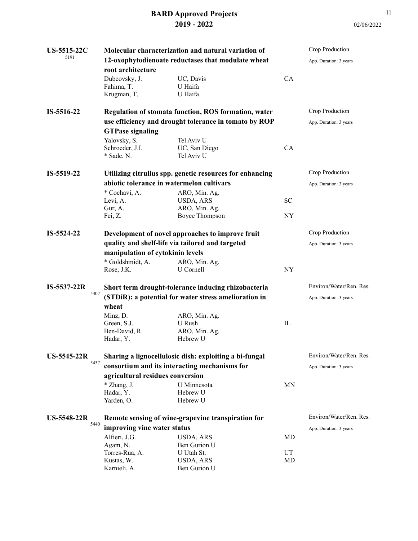| US-5515-22C<br>5191 | root architecture                                        | Molecular characterization and natural variation of<br>12-oxophytodienoate reductases that modulate wheat |             | Crop Production<br>App. Duration: 3 years |
|---------------------|----------------------------------------------------------|-----------------------------------------------------------------------------------------------------------|-------------|-------------------------------------------|
|                     | Dubcovsky, J.<br>Fahima, T.<br>Krugman, T.               | UC, Davis<br>U Haifa<br>U Haifa                                                                           | CA          |                                           |
| IS-5516-22          | Regulation of stomata function, ROS formation, water     |                                                                                                           |             | Crop Production                           |
|                     | use efficiency and drought tolerance in tomato by ROP    |                                                                                                           |             | App. Duration: 3 years                    |
|                     | <b>GTPase signaling</b>                                  |                                                                                                           |             |                                           |
|                     | Yalovsky, S.<br>Schroeder, J.I.<br>* Sade, N.            | Tel Aviv U<br>UC, San Diego<br>Tel Aviv U                                                                 | <b>CA</b>   |                                           |
| IS-5519-22          | Utilizing citrullus spp. genetic resources for enhancing |                                                                                                           |             | Crop Production                           |
|                     | abiotic tolerance in watermelon cultivars                |                                                                                                           |             | App. Duration: 3 years                    |
|                     | * Cochavi, A.<br>Levi, A.                                | ARO, Min. Ag.<br>USDA, ARS                                                                                | SС          |                                           |
|                     | Gur, A.<br>Fei, Z.                                       | ARO, Min. Ag.<br><b>Boyce Thompson</b>                                                                    | <b>NY</b>   |                                           |
| IS-5524-22          | Development of novel approaches to improve fruit         |                                                                                                           |             | Crop Production                           |
|                     |                                                          | quality and shelf-life via tailored and targeted                                                          |             | App. Duration: 3 years                    |
|                     | manipulation of cytokinin levels                         |                                                                                                           |             |                                           |
|                     | * Goldshmidt, A.                                         | ARO, Min. Ag.                                                                                             |             |                                           |
|                     | Rose, J.K.                                               | U Cornell                                                                                                 | NY          |                                           |
| IS-5537-22R<br>5407 | Short term drought-tolerance inducing rhizobacteria      |                                                                                                           |             | Environ/Water/Ren. Res.                   |
|                     | (STDiR): a potential for water stress amelioration in    |                                                                                                           |             | App. Duration: 3 years                    |
|                     | wheat                                                    |                                                                                                           |             |                                           |
|                     | Minz, D.                                                 | ARO, Min. Ag.                                                                                             |             |                                           |
|                     | Green, S.J.                                              | U Rush                                                                                                    | $_{\rm IL}$ |                                           |
|                     | Ben-David, R.<br>Hadar, Y.                               | ARO, Min. Ag.<br>Hebrew U                                                                                 |             |                                           |
| US-5545-22R         | Sharing a lignocellulosic dish: exploiting a bi-fungal   |                                                                                                           |             | Environ/Water/Ren. Res.                   |
| 5437                | consortium and its interacting mechanisms for            |                                                                                                           |             | App. Duration: 3 years                    |
|                     | agricultural residues conversion                         |                                                                                                           |             |                                           |
|                     | * Zhang, J.                                              | U Minnesota                                                                                               | MN          |                                           |
|                     | Hadar, Y.                                                | Hebrew U                                                                                                  |             |                                           |
|                     | Yarden, O.                                               | Hebrew U                                                                                                  |             |                                           |
| <b>US-5548-22R</b>  | Remote sensing of wine-grapevine transpiration for       |                                                                                                           |             | Environ/Water/Ren. Res.                   |
| 5440                | improving vine water status                              |                                                                                                           |             | App. Duration: 3 years                    |
|                     | Alfieri, J.G.                                            | USDA, ARS                                                                                                 | MD          |                                           |
|                     | Agam, N.                                                 | Ben Gurion U                                                                                              |             |                                           |
|                     | Torres-Rua, A.                                           | U Utah St.                                                                                                | UT          |                                           |
|                     | Kustas, W.                                               | USDA, ARS                                                                                                 | MD          |                                           |
|                     | Karnieli, A.                                             | Ben Gurion U                                                                                              |             |                                           |